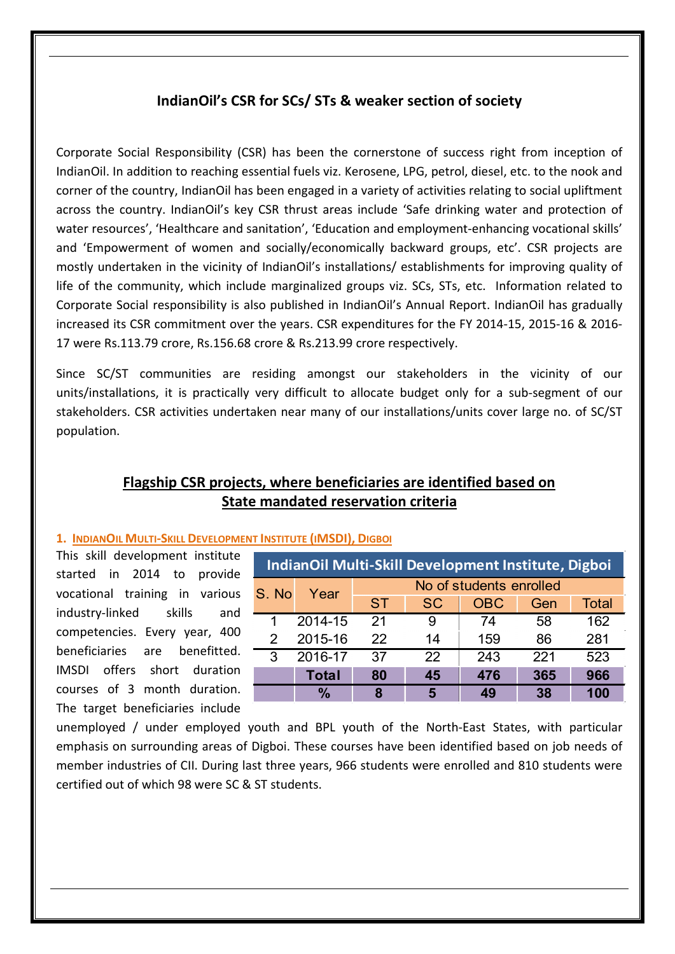## IndianOil's CSR for SCs/ STs & weaker section of society

Corporate Social Responsibility (CSR) has been the cornerstone of success right from inception of IndianOil. In addition to reaching essential fuels viz. Kerosene, LPG, petrol, diesel, etc. to the nook and corner of the country, IndianOil has been engaged in a variety of activities relating to social upliftment across the country. IndianOil's key CSR thrust areas include 'Safe drinking water and protection of water resources', 'Healthcare and sanitation', 'Education and employment-enhancing vocational skills' and 'Empowerment of women and socially/economically backward groups, etc'. CSR projects are mostly undertaken in the vicinity of IndianOil's installations/ establishments for improving quality of life of the community, which include marginalized groups viz. SCs, STs, etc. Information related to Corporate Social responsibility is also published in IndianOil's Annual Report. IndianOil has gradually increased its CSR commitment over the years. CSR expenditures for the FY 2014-15, 2015-16 & 2016- 17 were Rs.113.79 crore, Rs.156.68 crore & Rs.213.99 crore respectively.

Since SC/ST communities are residing amongst our stakeholders in the vicinity of our units/installations, it is practically very difficult to allocate budget only for a sub-segment of our stakeholders. CSR activities undertaken near many of our installations/units cover large no. of SC/ST population.

# Flagship CSR projects, where beneficiaries are identified based on State mandated reservation criteria

## 1. INDIANOIL MULTI-SKILL DEVELOPMENT INSTITUTE (IMSDI), DIGBOI

This skill development institute started in 2014 to provide vocational training in various industry-linked skills and competencies. Every year, 400 beneficiaries are benefitted. IMSDI offers short duration courses of 3 month duration. The target beneficiaries include

| <b>IndianOil Multi-Skill Development Institute, Digboi</b> |               |                         |           |            |     |              |  |
|------------------------------------------------------------|---------------|-------------------------|-----------|------------|-----|--------------|--|
| S. No                                                      | Year          | No of students enrolled |           |            |     |              |  |
|                                                            |               | <b>ST</b>               | <b>SC</b> | <b>OBC</b> | Gen | <b>Total</b> |  |
|                                                            | 2014-15       | 21                      | 9         | 74         | 58  | 162          |  |
| 2                                                          | 2015-16       | 22                      | 14        | 159        | 86  | 281          |  |
| 3                                                          | 2016-17       | 37                      | 22        | 243        | 221 | 523          |  |
|                                                            | <b>Total</b>  | 80                      | 45        | 476        | 365 | 966          |  |
|                                                            | $\frac{0}{0}$ | 8                       | 5         | 49         | 38  | 100          |  |

unemployed / under employed youth and BPL youth of the North-East States, with particular emphasis on surrounding areas of Digboi. These courses have been identified based on job needs of member industries of CII. During last three years, 966 students were enrolled and 810 students were certified out of which 98 were SC & ST students.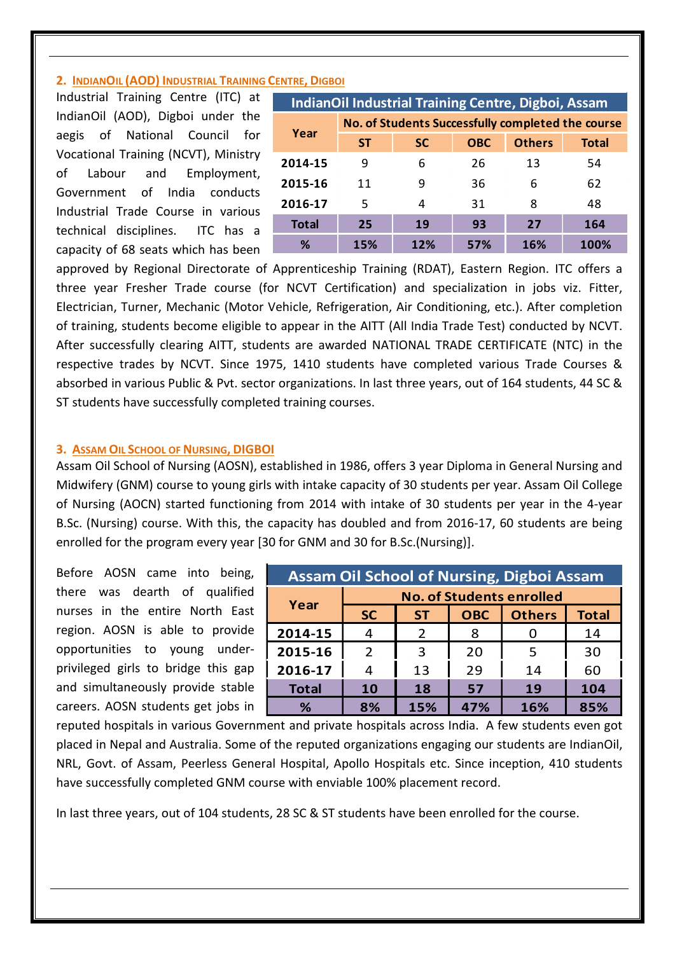## 2. INDIANOIL (AOD) INDUSTRIAL TRAINING CENTRE, DIGBOI

Industrial Training Centre (ITC) at IndianOil (AOD), Digboi under the aegis of National Council for Vocational Training (NCVT), Ministry of Labour and Employment, Government of India conducts Industrial Trade Course in various technical disciplines. ITC has a capacity of 68 seats which has been

| <b>IndianOil Industrial Training Centre, Digboi, Assam</b> |                                                   |           |            |               |              |  |  |
|------------------------------------------------------------|---------------------------------------------------|-----------|------------|---------------|--------------|--|--|
|                                                            | No. of Students Successfully completed the course |           |            |               |              |  |  |
| Year                                                       | <b>ST</b>                                         | <b>SC</b> | <b>OBC</b> | <b>Others</b> | <b>Total</b> |  |  |
| 2014-15                                                    | 9                                                 | 6         | 26         | 13            | 54           |  |  |
| 2015-16                                                    | 11                                                | 9         | 36         | 6             | 62           |  |  |
| 2016-17                                                    | 5                                                 | 4         | 31         | 8             | 48           |  |  |
| <b>Total</b>                                               | 25                                                | 19        | 93         | 27            | 164          |  |  |
| %                                                          | 15%                                               | 12%       | 57%        | 16%           | <b>100%</b>  |  |  |

approved by Regional Directorate of Apprenticeship Training (RDAT), Eastern Region. ITC offers a three year Fresher Trade course (for NCVT Certification) and specialization in jobs viz. Fitter, Electrician, Turner, Mechanic (Motor Vehicle, Refrigeration, Air Conditioning, etc.). After completion of training, students become eligible to appear in the AITT (All India Trade Test) conducted by NCVT. After successfully clearing AITT, students are awarded NATIONAL TRADE CERTIFICATE (NTC) in the respective trades by NCVT. Since 1975, 1410 students have completed various Trade Courses & absorbed in various Public & Pvt. sector organizations. In last three years, out of 164 students, 44 SC & ST students have successfully completed training courses.

### **3. ASSAM OIL SCHOOL OF NURSING, DIGBOI**

Assam Oil School of Nursing (AOSN), established in 1986, offers 3 year Diploma in General Nursing and Midwifery (GNM) course to young girls with intake capacity of 30 students per year. Assam Oil College of Nursing (AOCN) started functioning from 2014 with intake of 30 students per year in the 4-year B.Sc. (Nursing) course. With this, the capacity has doubled and from 2016-17, 60 students are being enrolled for the program every year [30 for GNM and 30 for B.Sc.(Nursing)].

Before AOSN came into being, there was dearth of qualified nurses in the entire North East region. AOSN is able to provide opportunities to young underprivileged girls to bridge this gap and simultaneously provide stable careers. AOSN students get jobs in

| <b>Assam Oil School of Nursing, Digboi Assam</b> |                                 |               |            |               |              |  |  |
|--------------------------------------------------|---------------------------------|---------------|------------|---------------|--------------|--|--|
|                                                  | <b>No. of Students enrolled</b> |               |            |               |              |  |  |
| Year                                             | <b>SC</b>                       | <b>ST</b>     | <b>OBC</b> | <b>Others</b> | <b>Total</b> |  |  |
| 2014-15                                          |                                 | $\mathcal{P}$ | 8          |               | 14           |  |  |
| 2015-16                                          | $\mathcal{P}$                   | 3             | 20         | 5             | 30           |  |  |
| 2016-17                                          | 4                               | 13            | 29         | 14            | 60           |  |  |
| <b>Total</b>                                     | 10                              | 18            | 57         | 19            | 104          |  |  |
| ℅                                                | 8%                              | 15%           | 47%        | 16%           | 85%          |  |  |

reputed hospitals in various Government and private hospitals across India. A few students even got placed in Nepal and Australia. Some of the reputed organizations engaging our students are IndianOil, NRL, Govt. of Assam, Peerless General Hospital, Apollo Hospitals etc. Since inception, 410 students have successfully completed GNM course with enviable 100% placement record.

In last three years, out of 104 students, 28 SC & ST students have been enrolled for the course.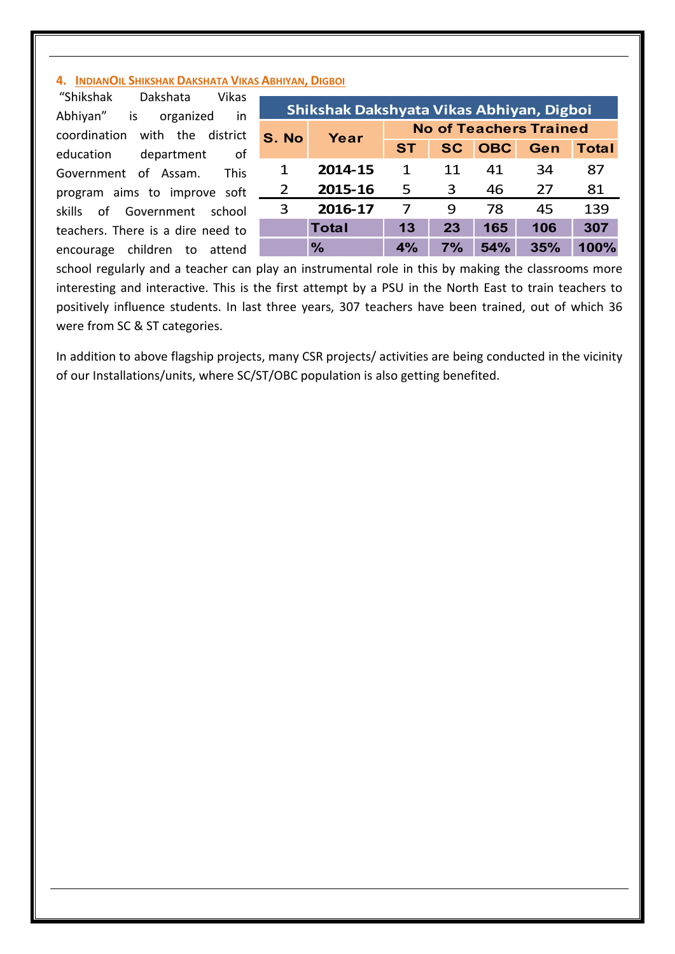## 4. INDIANOIL SHIKSHAK DAKSHATA VIKAS ABHIYAN, DIGBOI

"Shikshak Dakshata Vikas Abhiyan" is organized in coordination with the district education department of Government of Assam. This program aims to improve soft skills of Government school teachers. There is a dire need to encourage children to attend

| Shikshak Dakshyata Vikas Abhiyan, Digboi |               |                               |           |            |     |              |  |
|------------------------------------------|---------------|-------------------------------|-----------|------------|-----|--------------|--|
| S. No                                    | Year          | <b>No of Teachers Trained</b> |           |            |     |              |  |
|                                          |               | <b>ST</b>                     | <b>SC</b> | <b>OBC</b> | Gen | <b>Total</b> |  |
| 1                                        | 2014-15       | 1                             | 11        | 41         | 34  | 87           |  |
| $\mathcal{P}$                            | 2015-16       | 5                             | 3         | 46         | 27  | 81           |  |
| 3                                        | 2016-17       | 7                             | q         | 78         | 45  | 139          |  |
|                                          | <b>Total</b>  | 13                            | 23        | 165        | 106 | 307          |  |
|                                          | $\frac{0}{0}$ | 4%                            | 7%        | 54%        | 35% | 100%         |  |

school regularly and a teacher can play an instrumental role in this by making the classrooms more interesting and interactive. This is the first attempt by a PSU in the North East to train teachers to positively influence students. In last three years, 307 teachers have been trained, out of which 36 were from SC & ST categories.

In addition to above flagship projects, many CSR projects/ activities are being conducted in the vicinity of our Installations/units, where SC/ST/OBC population is also getting benefited.